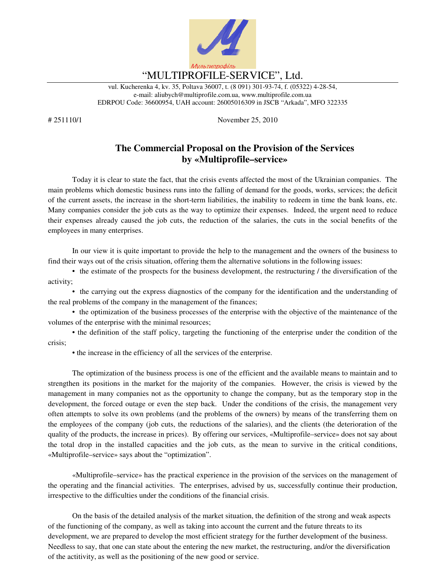

vul. Kucherenka 4, kv. 35, Poltava 36007, t. (8 091) 301-93-74, f. (05322) 4-28-54, e-mail: aliubych@multiprofile.com.ua, www.multiprofile.com.ua EDRPOU Code: 36600954, UAH account: 26005016309 in JSCB "Arkada", MFO 322335

# 251110/1 November 25, 2010

## **The Commercial Proposal on the Provision of the Services by «Multiprofile–service»**

Today it is clear to state the fact, that the crisis events affected the most of the Ukrainian companies. The main problems which domestic business runs into the falling of demand for the goods, works, services; the deficit of the current assets, the increase in the short-term liabilities, the inability to redeem in time the bank loans, etc. Many companies consider the job cuts as the way to optimize their expenses. Indeed, the urgent need to reduce their expenses already caused the job cuts, the reduction of the salaries, the cuts in the social benefits of the employees in many enterprises.

In our view it is quite important to provide the help to the management and the owners of the business to find their ways out of the crisis situation, offering them the alternative solutions in the following issues:

• the estimate of the prospects for the business development, the restructuring / the diversification of the activity;

• the carrying out the express diagnostics of the company for the identification and the understanding of the real problems of the company in the management of the finances;

• the optimization of the business processes of the enterprise with the objective of the maintenance of the volumes of the enterprise with the minimal resources;

• the definition of the staff policy, targeting the functioning of the enterprise under the condition of the crisis;

• the increase in the efficiency of all the services of the enterprise.

The optimization of the business process is one of the efficient and the available means to maintain and to strengthen its positions in the market for the majority of the companies. However, the crisis is viewed by the management in many companies not as the opportunity to change the company, but as the temporary stop in the development, the forced outage or even the step back. Under the conditions of the crisis, the management very often attempts to solve its own problems (and the problems of the owners) by means of the transferring them on the employees of the company (job cuts, the reductions of the salaries), and the clients (the deterioration of the quality of the products, the increase in prices). By offering our services, «Multiprofile–service» does not say about the total drop in the installed capacities and the job cuts, as the mean to survive in the critical conditions, «Multiprofile–service» says about the "optimization".

«Multiprofile–service» has the practical experience in the provision of the services on the management of the operating and the financial activities. The enterprises, advised by us, successfully continue their production, irrespective to the difficulties under the conditions of the financial crisis.

On the basis of the detailed analysis of the market situation, the definition of the strong and weak aspects of the functioning of the company, as well as taking into account the current and the future threats to its development, we are prepared to develop the most efficient strategy for the further development of the business. Needless to say, that one can state about the entering the new market, the restructuring, and/or the diversification of the actitivity, as well as the positioning of the new good or service.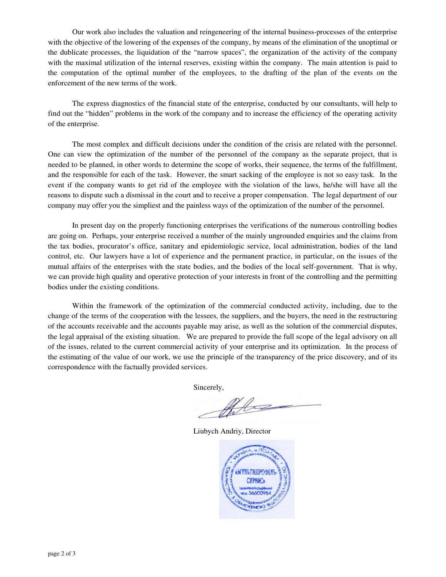Our work also includes the valuation and reingeneering of the internal business-processes of the enterprise with the objective of the lowering of the expenses of the company, by means of the elimination of the unoptimal or the dublicate processes, the liquidation of the "narrow spaces", the organization of the activity of the company with the maximal utilization of the internal reserves, existing within the company. The main attention is paid to the computation of the optimal number of the employees, to the drafting of the plan of the events on the enforcement of the new terms of the work.

The express diagnostics of the financial state of the enterprise, conducted by our consultants, will help to find out the "hidden" problems in the work of the company and to increase the efficiency of the operating activity of the enterprise.

The most complex and difficult decisions under the condition of the crisis are related with the personnel. One can view the optimization of the number of the personnel of the company as the separate project, that is needed to be planned, in other words to determine the scope of works, their sequence, the terms of the fulfillment, and the responsible for each of the task. However, the smart sacking of the employee is not so easy task. In the event if the company wants to get rid of the employee with the violation of the laws, he/she will have all the reasons to dispute such a dismissal in the court and to receive a proper compensation. The legal department of our company may offer you the simpliest and the painless ways of the optimization of the number of the personnel.

In present day on the properly functioning enterprises the verifications of the numerous controlling bodies are going on. Perhaps, your enterprise received a number of the mainly ungrounded enquiries and the claims from the tax bodies, procurator's office, sanitary and epidemiologic service, local administration, bodies of the land control, etc. Our lawyers have a lot of experience and the permanent practice, in particular, on the issues of the mutual affairs of the enterprises with the state bodies, and the bodies of the local self-government. That is why, we can provide high quality and operative protection of your interests in front of the controlling and the permitting bodies under the existing conditions.

Within the framework of the optimization of the commercial conducted activity, including, due to the change of the terms of the cooperation with the lessees, the suppliers, and the buyers, the need in the restructuring of the accounts receivable and the accounts payable may arise, as well as the solution of the commercial disputes, the legal appraisal of the existing situation. We are prepared to provide the full scope of the legal advisory on all of the issues, related to the current commercial activity of your enterprise and its optimization. In the process of the estimating of the value of our work, we use the principle of the transparency of the price discovery, and of its correspondence with the factually provided services.

Sincerely,

Philice

Liubych Andriy, Director